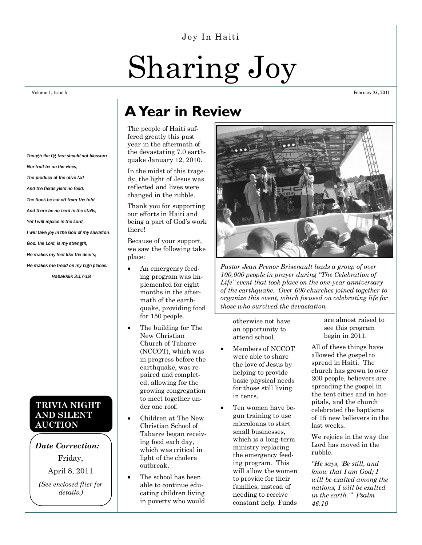#### Joy In Haiti

# Sharing Joy

#### Volume 1, Issue 5

February 23, 2011

# **A Year in Review**

The people of Haiti suffered greatly this past year in the aftermath of the devastating 7.0 earthquake January 12, 2010.

In the midst of this tragedy, the light of Jesus was reflected and lives were changed in the rubble.

Thank you for supporting our efforts in Haiti and being a part of God's work there!

Because of your support, we saw the following take place:

- An emergency feeding program was implemented for eight months in the aftermath of the earthquake, providing food for 150 people.
- The building for The New Christian Church of Tabarre (NCCOT), which was in progress before the earthquake, was repaired and completed, allowing for the growing congregation to meet together under one roof.
- Children at The New Christian School of Tabarre began receiving food each day, which was critical in light of the cholera outbreak.
- The school has been able to continue educating children living in poverty who would



*Pastor Jean Prenor Brisenault leads a group of over 100,000 people in prayer during "The Celebration of Life" event that took place on the one-year anniversary of the earthquake. Over 600 churches joined together to organize this event, which focused on celebrating life for those who survived the devastation.* 

otherwise not have an opportunity to attend school.

- Members of NCCOT were able to share the love of Jesus by helping to provide basic physical needs for those still living in tents.
- Ten women have begun training to use microloans to start small businesses, which is a long-term ministry replacing the emergency feeding program. This will allow the women to provide for their families, instead of needing to receive constant help. Funds

are almost raised to see this program begin in 2011.

All of these things have allowed the gospel to spread in Haiti. The church has grown to over 200 people, believers are spreading the gospel in the tent cities and in hospitals, and the church celebrated the baptisms of 15 new believers in the last weeks.

We rejoice in the way the Lord has moved in the rubble.

*"He says, "Be still, and know that I am God; I will be exalted among the nations, I will be exalted in the earth."" Psalm 46:10*

#### *Though the fig tree should not blossom,*

*Nor fruit be on the vines,*

*The produce of the olive fail*

*And the fields yield no food,*

*The flock be cut off from the fold*

*And there be no herd in the stalls,*

*Yet I will rejoice in the Lord,*

*I will take joy in the God of my salvation.*

*God, the Lord, is my strength;*

*He makes my feet like the deer's;*

*He makes me tread on my high places.*

*Habakkuk 3:17-18*

### **TRIVIA NIGHT AND SILENT AUCTION**

#### *Date Correction:* Friday,

April 8, 2011

*(See enclosed flier for details.)*